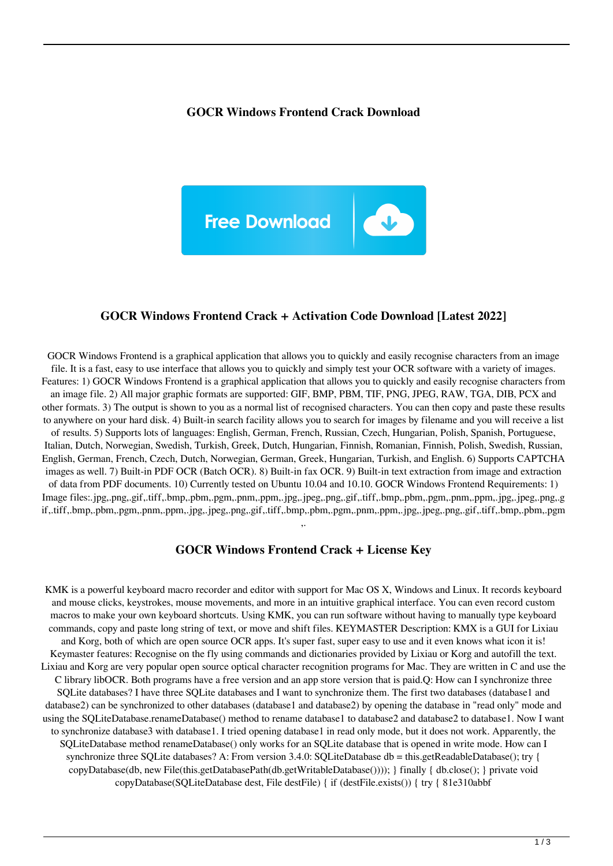#### **GOCR Windows Frontend Crack Download**



#### **GOCR Windows Frontend Crack + Activation Code Download [Latest 2022]**

GOCR Windows Frontend is a graphical application that allows you to quickly and easily recognise characters from an image file. It is a fast, easy to use interface that allows you to quickly and simply test your OCR software with a variety of images. Features: 1) GOCR Windows Frontend is a graphical application that allows you to quickly and easily recognise characters from an image file. 2) All major graphic formats are supported: GIF, BMP, PBM, TIF, PNG, JPEG, RAW, TGA, DIB, PCX and other formats. 3) The output is shown to you as a normal list of recognised characters. You can then copy and paste these results to anywhere on your hard disk. 4) Built-in search facility allows you to search for images by filename and you will receive a list of results. 5) Supports lots of languages: English, German, French, Russian, Czech, Hungarian, Polish, Spanish, Portuguese, Italian, Dutch, Norwegian, Swedish, Turkish, Greek, Dutch, Hungarian, Finnish, Romanian, Finnish, Polish, Swedish, Russian, English, German, French, Czech, Dutch, Norwegian, German, Greek, Hungarian, Turkish, and English. 6) Supports CAPTCHA images as well. 7) Built-in PDF OCR (Batch OCR). 8) Built-in fax OCR. 9) Built-in text extraction from image and extraction of data from PDF documents. 10) Currently tested on Ubuntu 10.04 and 10.10. GOCR Windows Frontend Requirements: 1) Image files:.jpg,.png,.gif,.tiff,.bmp,.pbm,.pgm,.pnm,.ppm,.jpg,.jpeg,.png,.gif,.tiff,.bmp,.pbm,.pgm,.pnm,.ppm,.jpg,.jpeg,.png,.g if,.tiff,.bmp,.pbm,.pgm,.pnm,.ppm,.jpg,.jpeg,.png,.gif,.tiff,.bmp,.pbm,.pgm,.pnm,.ppm,.jpg,.jpeg,.png,.gif,.tiff,.bmp,.pbm,.pgm ,.

## **GOCR Windows Frontend Crack + License Key**

KMK is a powerful keyboard macro recorder and editor with support for Mac OS X, Windows and Linux. It records keyboard and mouse clicks, keystrokes, mouse movements, and more in an intuitive graphical interface. You can even record custom macros to make your own keyboard shortcuts. Using KMK, you can run software without having to manually type keyboard commands, copy and paste long string of text, or move and shift files. KEYMASTER Description: KMX is a GUI for Lixiau and Korg, both of which are open source OCR apps. It's super fast, super easy to use and it even knows what icon it is! Keymaster features: Recognise on the fly using commands and dictionaries provided by Lixiau or Korg and autofill the text. Lixiau and Korg are very popular open source optical character recognition programs for Mac. They are written in C and use the C library libOCR. Both programs have a free version and an app store version that is paid.Q: How can I synchronize three SQLite databases? I have three SQLite databases and I want to synchronize them. The first two databases (database1 and database2) can be synchronized to other databases (database1 and database2) by opening the database in "read only" mode and using the SQLiteDatabase.renameDatabase() method to rename database1 to database2 and database2 to database1. Now I want to synchronize database3 with database1. I tried opening database1 in read only mode, but it does not work. Apparently, the SQLiteDatabase method renameDatabase() only works for an SQLite database that is opened in write mode. How can I synchronize three SQLite databases? A: From version 3.4.0: SQLiteDatabase db = this.getReadableDatabase(); try { copyDatabase(db, new File(this.getDatabasePath(db.getWritableDatabase()))); } finally { db.close(); } private void copyDatabase(SQLiteDatabase dest, File destFile) { if (destFile.exists()) { try { 81e310abbf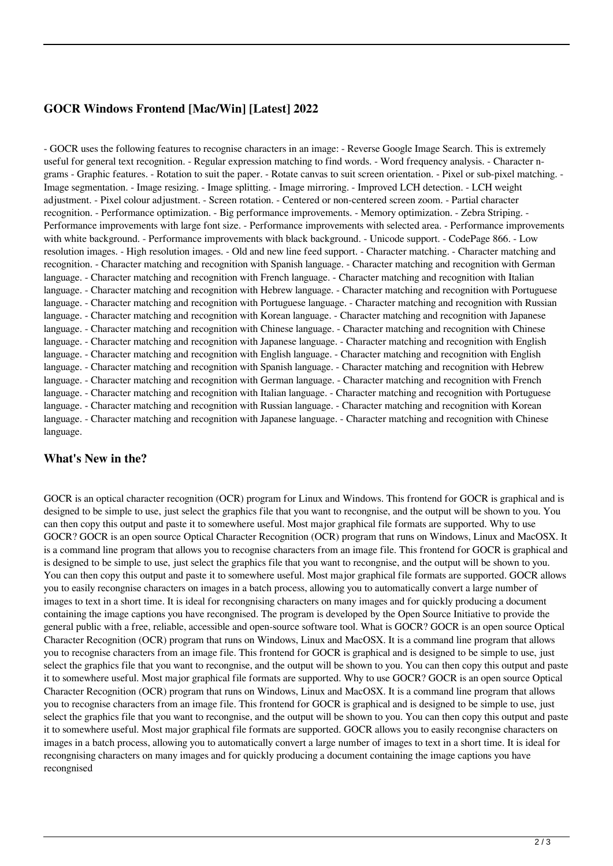## **GOCR Windows Frontend [Mac/Win] [Latest] 2022**

- GOCR uses the following features to recognise characters in an image: - Reverse Google Image Search. This is extremely useful for general text recognition. - Regular expression matching to find words. - Word frequency analysis. - Character ngrams - Graphic features. - Rotation to suit the paper. - Rotate canvas to suit screen orientation. - Pixel or sub-pixel matching. - Image segmentation. - Image resizing. - Image splitting. - Image mirroring. - Improved LCH detection. - LCH weight adjustment. - Pixel colour adjustment. - Screen rotation. - Centered or non-centered screen zoom. - Partial character recognition. - Performance optimization. - Big performance improvements. - Memory optimization. - Zebra Striping. - Performance improvements with large font size. - Performance improvements with selected area. - Performance improvements with white background. - Performance improvements with black background. - Unicode support. - CodePage 866. - Low resolution images. - High resolution images. - Old and new line feed support. - Character matching. - Character matching and recognition. - Character matching and recognition with Spanish language. - Character matching and recognition with German language. - Character matching and recognition with French language. - Character matching and recognition with Italian language. - Character matching and recognition with Hebrew language. - Character matching and recognition with Portuguese language. - Character matching and recognition with Portuguese language. - Character matching and recognition with Russian language. - Character matching and recognition with Korean language. - Character matching and recognition with Japanese language. - Character matching and recognition with Chinese language. - Character matching and recognition with Chinese language. - Character matching and recognition with Japanese language. - Character matching and recognition with English language. - Character matching and recognition with English language. - Character matching and recognition with English language. - Character matching and recognition with Spanish language. - Character matching and recognition with Hebrew language. - Character matching and recognition with German language. - Character matching and recognition with French language. - Character matching and recognition with Italian language. - Character matching and recognition with Portuguese language. - Character matching and recognition with Russian language. - Character matching and recognition with Korean language. - Character matching and recognition with Japanese language. - Character matching and recognition with Chinese language.

### **What's New in the?**

GOCR is an optical character recognition (OCR) program for Linux and Windows. This frontend for GOCR is graphical and is designed to be simple to use, just select the graphics file that you want to recongnise, and the output will be shown to you. You can then copy this output and paste it to somewhere useful. Most major graphical file formats are supported. Why to use GOCR? GOCR is an open source Optical Character Recognition (OCR) program that runs on Windows, Linux and MacOSX. It is a command line program that allows you to recognise characters from an image file. This frontend for GOCR is graphical and is designed to be simple to use, just select the graphics file that you want to recongnise, and the output will be shown to you. You can then copy this output and paste it to somewhere useful. Most major graphical file formats are supported. GOCR allows you to easily recongnise characters on images in a batch process, allowing you to automatically convert a large number of images to text in a short time. It is ideal for recongnising characters on many images and for quickly producing a document containing the image captions you have recongnised. The program is developed by the Open Source Initiative to provide the general public with a free, reliable, accessible and open-source software tool. What is GOCR? GOCR is an open source Optical Character Recognition (OCR) program that runs on Windows, Linux and MacOSX. It is a command line program that allows you to recognise characters from an image file. This frontend for GOCR is graphical and is designed to be simple to use, just select the graphics file that you want to recongnise, and the output will be shown to you. You can then copy this output and paste it to somewhere useful. Most major graphical file formats are supported. Why to use GOCR? GOCR is an open source Optical Character Recognition (OCR) program that runs on Windows, Linux and MacOSX. It is a command line program that allows you to recognise characters from an image file. This frontend for GOCR is graphical and is designed to be simple to use, just select the graphics file that you want to recongnise, and the output will be shown to you. You can then copy this output and paste it to somewhere useful. Most major graphical file formats are supported. GOCR allows you to easily recongnise characters on images in a batch process, allowing you to automatically convert a large number of images to text in a short time. It is ideal for recongnising characters on many images and for quickly producing a document containing the image captions you have recongnised